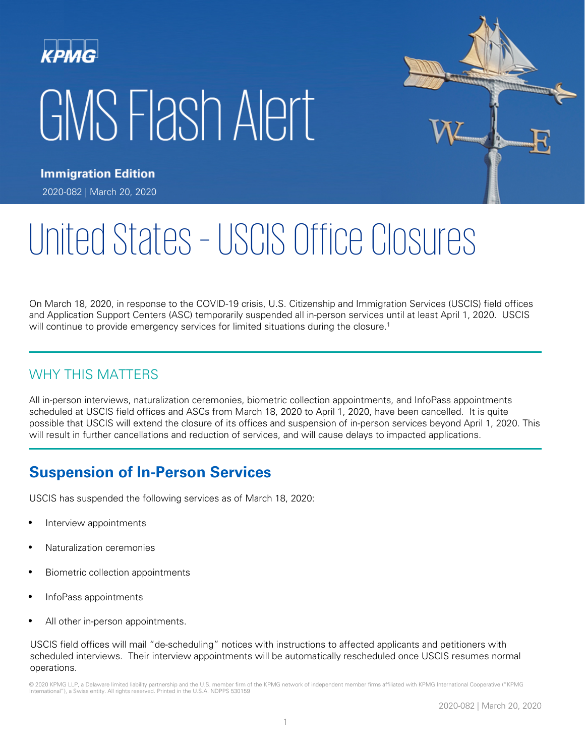# **KPMG** GMS Flash Alert



**Immigration Edition** 2020-082 | March 20, 2020

# United States – USCIS Office Closures

On March 18, 2020, in response to the COVID-19 crisis, U.S. Citizenship and Immigration Services (USCIS) field offices and Application Support Centers (ASC) temporarily suspended all in-person services until at least April 1, 2020. USCIS will continue to provide emergency services for limited situations during the closure.<sup>1</sup>

# WHY THIS MATTERS

All in-person interviews, naturalization ceremonies, biometric collection appointments, and InfoPass appointments scheduled at USCIS field offices and ASCs from March 18, 2020 to April 1, 2020, have been cancelled. It is quite possible that USCIS will extend the closure of its offices and suspension of in-person services beyond April 1, 2020. This will result in further cancellations and reduction of services, and will cause delays to impacted applications.

# **Suspension of In-Person Services**

USCIS has suspended the following services as of March 18, 2020:

- Interview appointments
- Naturalization ceremonies
- Biometric collection appointments
- InfoPass appointments
- All other in-person appointments.

USCIS field offices will mail "de-scheduling" notices with instructions to affected applicants and petitioners with scheduled interviews. Their interview appointments will be automatically rescheduled once USCIS resumes normal operations.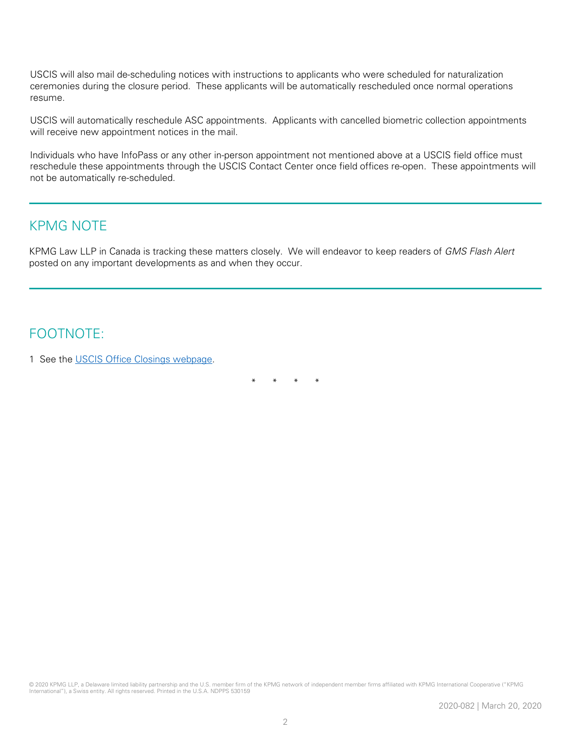USCIS will also mail de-scheduling notices with instructions to applicants who were scheduled for naturalization ceremonies during the closure period. These applicants will be automatically rescheduled once normal operations resume.

USCIS will automatically reschedule ASC appointments. Applicants with cancelled biometric collection appointments will receive new appointment notices in the mail.

Individuals who have InfoPass or any other in-person appointment not mentioned above at a USCIS field office must reschedule these appointments through the USCIS Contact Center once field offices re-open. These appointments will not be automatically re-scheduled.

### KPMG NOTE

KPMG Law LLP in Canada is tracking these matters closely. We will endeavor to keep readers of GMS Flash Alert posted on any important developments as and when they occur.

## FOOTNOTE:

1 See the [USCIS Office Closings webpage.](https://www.uscis.gov/about-us/uscis-office-closings)

\* \* \* \*

© 2020 KPMG LLP, a Delaware limited liability partnership and the U.S. member firm of the KPMG network of independent member firms affiliated with KPMG International Cooperative ("KPMG International"), a Swiss entity. All rights reserved. Printed in the U.S.A. NDPPS 530159